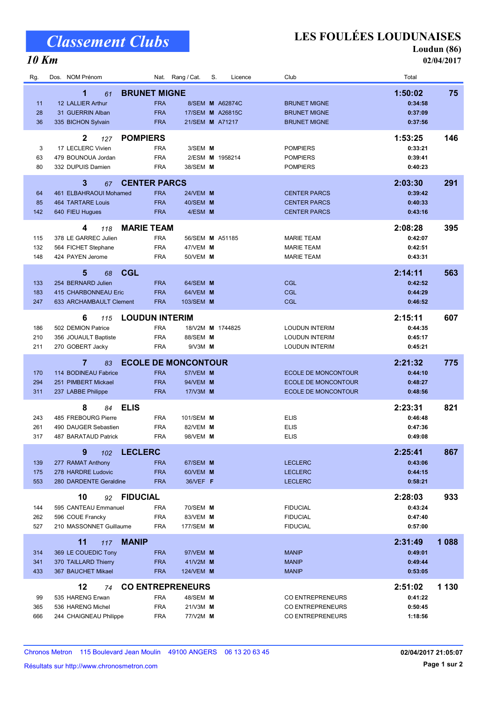# Classement Clubs

#### 10 Km

LES FOULÉES LOUDUNAISES

Loudun (86)

02/04/2017

| Rg.               | Dos. NOM Prénom                                                                                      | Nat. Rang / Cat.                                                                                                | S.<br>Licence                                          | Club                                                                                   | Total                                               |
|-------------------|------------------------------------------------------------------------------------------------------|-----------------------------------------------------------------------------------------------------------------|--------------------------------------------------------|----------------------------------------------------------------------------------------|-----------------------------------------------------|
| 11<br>28<br>36    | 1<br>61<br>12 LALLIER Arthur<br>31 GUERRIN Alban<br>335 BICHON Sylvain                               | <b>BRUNET MIGNE</b><br><b>FRA</b><br><b>FRA</b><br><b>FRA</b>                                                   | 8/SEM M A62874C<br>17/SEM M A26815C<br>21/SEM M A71217 | <b>BRUNET MIGNE</b><br><b>BRUNET MIGNE</b><br><b>BRUNET MIGNE</b>                      | 1:50:02<br>75<br>0:34:58<br>0:37:09<br>0:37:56      |
| 3<br>63<br>80     | $\mathbf{2}$<br>127<br>17 LECLERC Vivien<br>479 BOUNOUA Jordan<br>332 DUPUIS Damien                  | <b>POMPIERS</b><br>3/SEM M<br><b>FRA</b><br><b>FRA</b><br><b>FRA</b><br>38/SEM M                                | 2/ESM M 1958214                                        | <b>POMPIERS</b><br><b>POMPIERS</b><br><b>POMPIERS</b>                                  | 146<br>1:53:25<br>0:33:21<br>0:39:41<br>0:40:23     |
| 64<br>85<br>142   | 3<br>67<br>461 ELBAHRAOUI Mohamed<br><b>464 TARTARE Louis</b><br>640 FIEU Hugues                     | <b>CENTER PARCS</b><br><b>FRA</b><br><b>24/VEM M</b><br><b>FRA</b><br>40/SEM M<br><b>FRA</b><br>4/ESM M         |                                                        | <b>CENTER PARCS</b><br><b>CENTER PARCS</b><br><b>CENTER PARCS</b>                      | 291<br>2:03:30<br>0:39:42<br>0:40:33<br>0:43:16     |
| 115<br>132<br>148 | 4<br>118<br>378 LE GARREC Julien<br>564 FICHET Stephane<br>424 PAYEN Jerome                          | <b>MARIE TEAM</b><br><b>FRA</b><br><b>FRA</b><br>47/VEM M<br><b>FRA</b><br>50/VEM M                             | 56/SEM M A51185                                        | <b>MARIE TEAM</b><br><b>MARIE TEAM</b><br><b>MARIE TEAM</b>                            | 2:08:28<br>395<br>0:42:07<br>0:42:51<br>0:43:31     |
| 133<br>183<br>247 | 5<br><b>CGL</b><br>68<br>254 BERNARD Julien<br>415 CHARBONNEAU Eric<br>633 ARCHAMBAULT Clement       | <b>FRA</b><br>64/SEM M<br><b>FRA</b><br>64/VEM M<br><b>FRA</b><br>103/SEM M                                     |                                                        | CGL<br><b>CGL</b><br><b>CGL</b>                                                        | 563<br>2:14:11<br>0:42:52<br>0:44:29<br>0:46:52     |
| 186<br>210<br>211 | 6<br>115<br>502 DEMION Patrice<br>356 JOUAULT Baptiste<br>270 GOBERT Jacky                           | <b>LOUDUN INTERIM</b><br><b>FRA</b><br><b>FRA</b><br>88/SEM M<br><b>FRA</b><br>$9/N3M$ M                        | 18/V2M M 1744825                                       | <b>LOUDUN INTERIM</b><br><b>LOUDUN INTERIM</b><br><b>LOUDUN INTERIM</b>                | 2:15:11<br>607<br>0:44:35<br>0:45:17<br>0:45:21     |
| 170<br>294<br>311 | $\overline{7}$<br>83<br>114 BODINEAU Fabrice<br>251 PIMBERT Mickael<br>237 LABBE Philippe            | <b>ECOLE DE MONCONTOUR</b><br><b>FRA</b><br><b>57/VEM M</b><br><b>FRA</b><br>94/VEM M<br><b>FRA</b><br>17/V3M M |                                                        | <b>ECOLE DE MONCONTOUR</b><br><b>ECOLE DE MONCONTOUR</b><br><b>ECOLE DE MONCONTOUR</b> | 2:21:32<br>775<br>0:44:10<br>0:48:27<br>0:48:56     |
| 243<br>261<br>317 | <b>ELIS</b><br>8<br>84<br>485 FREBOURG Pierre<br>490 DAUGER Sebastien<br><b>487 BARATAUD Patrick</b> | <b>FRA</b><br>101/SEM M<br><b>FRA</b><br>82/VEM <b>M</b><br><b>FRA</b><br>98/VEM M                              |                                                        | <b>ELIS</b><br><b>ELIS</b><br><b>ELIS</b>                                              | 821<br>2:23:31<br>0:46:48<br>0:47:36<br>0:49:08     |
| 139<br>175<br>553 | 9<br>102<br>277 RAMAT Anthony<br>278 HARDRE Ludovic<br>280 DARDENTE Geraldine                        | <b>LECLERC</b><br>67/SEM M<br><b>FRA</b><br><b>FRA</b><br>60/VEM M<br><b>FRA</b><br>36/VEF F                    |                                                        | <b>LECLERC</b><br><b>LECLERC</b><br><b>LECLERC</b>                                     | 2:25:41<br>867<br>0:43:06<br>0:44:15<br>0:58:21     |
| 144<br>262<br>527 | 10<br>92<br>595 CANTEAU Emmanuel<br>596 COUE Francky<br>210 MASSONNET Guillaume                      | <b>FIDUCIAL</b><br>70/SEM <b>M</b><br><b>FRA</b><br><b>FRA</b><br>83/VEM M<br><b>FRA</b><br>177/SEM <b>M</b>    |                                                        | <b>FIDUCIAL</b><br><b>FIDUCIAL</b><br><b>FIDUCIAL</b>                                  | 2:28:03<br>933<br>0:43:24<br>0:47:40<br>0:57:00     |
| 314<br>341<br>433 | <b>MANIP</b><br>11<br>117<br>369 LE COUEDIC Tony<br>370 TAILLARD Thierry<br>367 BAUCHET Mikael       | <b>FRA</b><br>97/VEM <b>M</b><br><b>FRA</b><br>41/V2M M<br><b>FRA</b><br>124/VEM <b>M</b>                       |                                                        | <b>MANIP</b><br><b>MANIP</b><br><b>MANIP</b>                                           | 2:31:49<br>1 0 8 8<br>0:49:01<br>0:49:44<br>0:53:05 |
| 99<br>365<br>666  | 12<br>74<br>535 HARENG Erwan<br>536 HARENG Michel<br>244 CHAIGNEAU Philippe                          | <b>CO ENTREPRENEURS</b><br><b>FRA</b><br>48/SEM <b>M</b><br><b>FRA</b><br>21/V3M M<br><b>FRA</b><br>77/V2M M    |                                                        | CO ENTREPRENEURS<br>CO ENTREPRENEURS<br>CO ENTREPRENEURS                               | 2:51:02<br>1 1 3 0<br>0:41:22<br>0:50:45<br>1:18:56 |